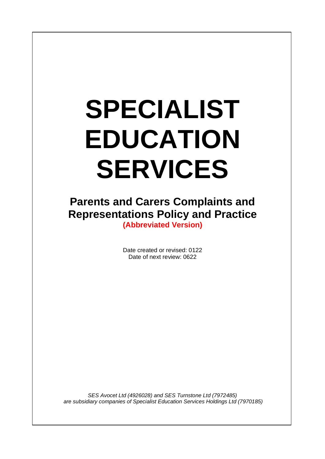# **SPECIALIST EDUCATION SERVICES**

 $\overline{\phantom{a}}$ 

**Parents and Carers Complaints and Representations Policy and Practice**

**(Abbreviated Version)**

Date created or revised: 0122 Date of next review: 0622

*SES Avocet Ltd (4926028) and SES Turnstone Ltd (7972485) are subsidiary companies of Specialist Education Services Holdings Ltd (7970185)*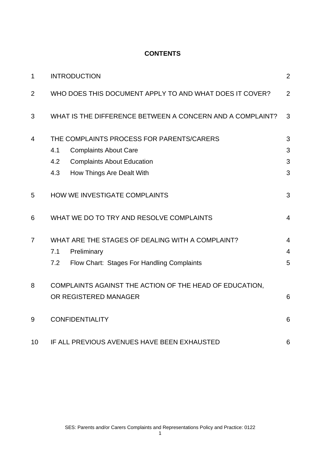# **CONTENTS**

| $\mathbf 1$    | <b>INTRODUCTION</b>                                       | $\overline{2}$ |
|----------------|-----------------------------------------------------------|----------------|
| $\overline{2}$ | WHO DOES THIS DOCUMENT APPLY TO AND WHAT DOES IT COVER?   | $\overline{2}$ |
| 3              | WHAT IS THE DIFFERENCE BETWEEN A CONCERN AND A COMPLAINT? | 3              |
| $\overline{4}$ | THE COMPLAINTS PROCESS FOR PARENTS/CARERS                 | 3              |
|                | 4.1<br><b>Complaints About Care</b>                       | 3              |
|                | <b>Complaints About Education</b><br>4.2                  | 3              |
|                | 4.3<br>How Things Are Dealt With                          | 3              |
| 5              | HOW WE INVESTIGATE COMPLAINTS                             | 3              |
| 6              | WHAT WE DO TO TRY AND RESOLVE COMPLAINTS                  | $\overline{4}$ |
| $\overline{7}$ | WHAT ARE THE STAGES OF DEALING WITH A COMPLAINT?          | $\overline{4}$ |
|                | Preliminary<br>7.1                                        | $\overline{4}$ |
|                | Flow Chart: Stages For Handling Complaints<br>7.2         | 5              |
| 8              | COMPLAINTS AGAINST THE ACTION OF THE HEAD OF EDUCATION,   |                |
|                | OR REGISTERED MANAGER                                     | 6              |
| 9              | <b>CONFIDENTIALITY</b>                                    | 6              |
| 10             | IF ALL PREVIOUS AVENUES HAVE BEEN EXHAUSTED               | 6              |

1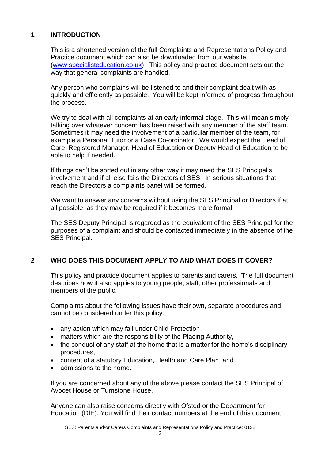# **1 INTRODUCTION**

This is a shortened version of the full Complaints and Representations Policy and Practice document which can also be downloaded from our website [\(www.specialisteducation.co.uk\)](http://www.specialisteducation.co.uk/). This policy and practice document sets out the way that general complaints are handled.

Any person who complains will be listened to and their complaint dealt with as quickly and efficiently as possible. You will be kept informed of progress throughout the process.

We try to deal with all complaints at an early informal stage. This will mean simply talking over whatever concern has been raised with any member of the staff team. Sometimes it may need the involvement of a particular member of the team, for example a Personal Tutor or a Case Co-ordinator. We would expect the Head of Care, Registered Manager, Head of Education or Deputy Head of Education to be able to help if needed.

If things can't be sorted out in any other way it may need the SES Principal's involvement and if all else fails the Directors of SES. In serious situations that reach the Directors a complaints panel will be formed.

We want to answer any concerns without using the SES Principal or Directors if at all possible, as they may be required if it becomes more formal.

The SES Deputy Principal is regarded as the equivalent of the SES Principal for the purposes of a complaint and should be contacted immediately in the absence of the SES Principal.

# **2 WHO DOES THIS DOCUMENT APPLY TO AND WHAT DOES IT COVER?**

This policy and practice document applies to parents and carers. The full document describes how it also applies to young people, staff, other professionals and members of the public.

Complaints about the following issues have their own, separate procedures and cannot be considered under this policy:

- any action which may fall under Child Protection
- matters which are the responsibility of the Placing Authority,
- the conduct of any staff at the home that is a matter for the home's disciplinary procedures,
- content of a statutory Education, Health and Care Plan, and
- admissions to the home.

If you are concerned about any of the above please contact the SES Principal of Avocet House or Turnstone House.

Anyone can also raise concerns directly with Ofsted or the Department for Education (DfE). You will find their contact numbers at the end of this document.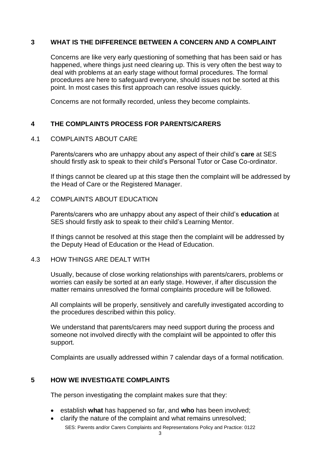## **3 WHAT IS THE DIFFERENCE BETWEEN A CONCERN AND A COMPLAINT**

Concerns are like very early questioning of something that has been said or has happened, where things just need clearing up. This is very often the best way to deal with problems at an early stage without formal procedures. The formal procedures are here to safeguard everyone, should issues not be sorted at this point. In most cases this first approach can resolve issues quickly.

Concerns are not formally recorded, unless they become complaints.

## **4 THE COMPLAINTS PROCESS FOR PARENTS/CARERS**

#### 4.1 COMPLAINTS ABOUT CARE

Parents/carers who are unhappy about any aspect of their child's **care** at SES should firstly ask to speak to their child's Personal Tutor or Case Co-ordinator.

If things cannot be cleared up at this stage then the complaint will be addressed by the Head of Care or the Registered Manager.

#### 4.2 COMPLAINTS ABOUT EDUCATION

Parents/carers who are unhappy about any aspect of their child's **education** at SES should firstly ask to speak to their child's Learning Mentor.

If things cannot be resolved at this stage then the complaint will be addressed by the Deputy Head of Education or the Head of Education.

#### 4.3 HOW THINGS ARE DEALT WITH

Usually, because of close working relationships with parents/carers, problems or worries can easily be sorted at an early stage. However, if after discussion the matter remains unresolved the formal complaints procedure will be followed.

All complaints will be properly, sensitively and carefully investigated according to the procedures described within this policy.

We understand that parents/carers may need support during the process and someone not involved directly with the complaint will be appointed to offer this support.

Complaints are usually addressed within 7 calendar days of a formal notification.

#### **5 HOW WE INVESTIGATE COMPLAINTS**

The person investigating the complaint makes sure that they:

- establish **what** has happened so far, and **who** has been involved;
- clarify the nature of the complaint and what remains unresolved;

SES: Parents and/or Carers Complaints and Representations Policy and Practice: 0122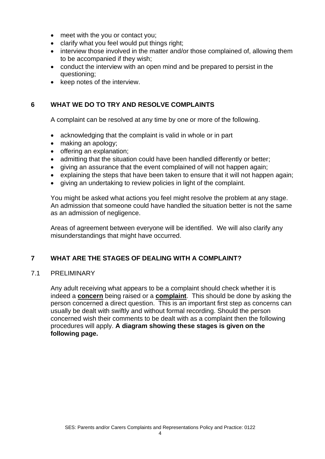- meet with the you or contact you;
- clarify what you feel would put things right;
- interview those involved in the matter and/or those complained of, allowing them to be accompanied if they wish;
- conduct the interview with an open mind and be prepared to persist in the questioning;
- keep notes of the interview.

## **6 WHAT WE DO TO TRY AND RESOLVE COMPLAINTS**

A complaint can be resolved at any time by one or more of the following.

- acknowledging that the complaint is valid in whole or in part
- making an apology;
- offering an explanation;
- admitting that the situation could have been handled differently or better;
- giving an assurance that the event complained of will not happen again;
- explaining the steps that have been taken to ensure that it will not happen again;
- giving an undertaking to review policies in light of the complaint.

You might be asked what actions you feel might resolve the problem at any stage. An admission that someone could have handled the situation better is not the same as an admission of negligence.

Areas of agreement between everyone will be identified. We will also clarify any misunderstandings that might have occurred.

# **7 WHAT ARE THE STAGES OF DEALING WITH A COMPLAINT?**

#### 7.1 PRELIMINARY

Any adult receiving what appears to be a complaint should check whether it is indeed a **concern** being raised or a **complaint**. This should be done by asking the person concerned a direct question. This is an important first step as concerns can usually be dealt with swiftly and without formal recording. Should the person concerned wish their comments to be dealt with as a complaint then the following procedures will apply. **A diagram showing these stages is given on the following page.**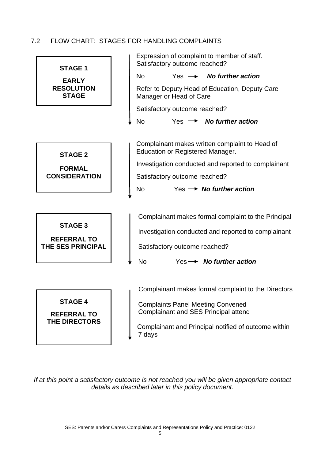## 7.2 FLOW CHART: STAGES FOR HANDLING COMPLAINTS



*If at this point a satisfactory outcome is not reached you will be given appropriate contact details as described later in this policy document.*